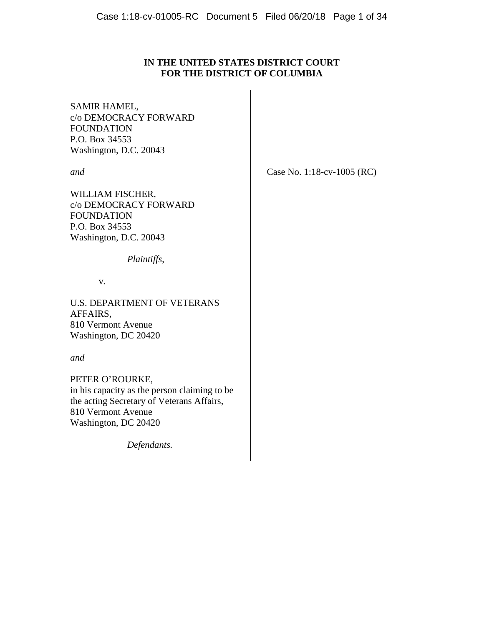## **IN THE UNITED STATES DISTRICT COURT FOR THE DISTRICT OF COLUMBIA**

SAMIR HAMEL, c/o DEMOCRACY FORWARD FOUNDATION P.O. Box 34553 Washington, D.C. 20043

*and*

WILLIAM FISCHER, c/o DEMOCRACY FORWARD FOUNDATION P.O. Box 34553 Washington, D.C. 20043

*Plaintiffs*,

v*.*

U.S. DEPARTMENT OF VETERANS AFFAIRS, 810 Vermont Avenue Washington, DC 20420

*and*

PETER O'ROURKE, in his capacity as the person claiming to be the acting Secretary of Veterans Affairs, 810 Vermont Avenue Washington, DC 20420

*Defendants.*

Case No. 1:18-cv-1005 (RC)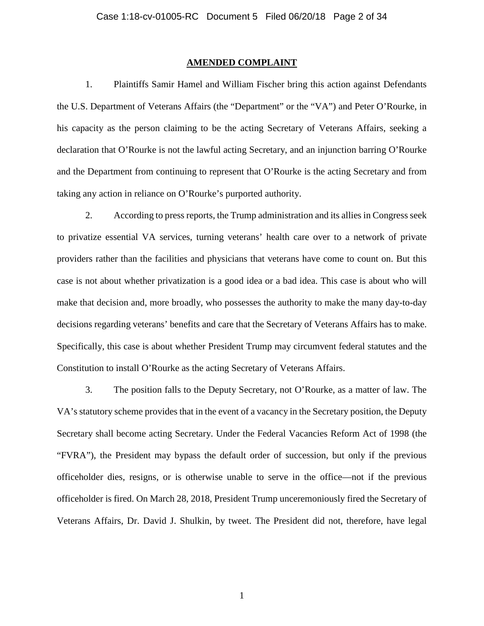#### **AMENDED COMPLAINT**

1. Plaintiffs Samir Hamel and William Fischer bring this action against Defendants the U.S. Department of Veterans Affairs (the "Department" or the "VA") and Peter O'Rourke, in his capacity as the person claiming to be the acting Secretary of Veterans Affairs, seeking a declaration that O'Rourke is not the lawful acting Secretary, and an injunction barring O'Rourke and the Department from continuing to represent that O'Rourke is the acting Secretary and from taking any action in reliance on O'Rourke's purported authority.

2. According to press reports, the Trump administration and its allies in Congress seek to privatize essential VA services, turning veterans' health care over to a network of private providers rather than the facilities and physicians that veterans have come to count on. But this case is not about whether privatization is a good idea or a bad idea. This case is about who will make that decision and, more broadly, who possesses the authority to make the many day-to-day decisions regarding veterans' benefits and care that the Secretary of Veterans Affairs has to make. Specifically, this case is about whether President Trump may circumvent federal statutes and the Constitution to install O'Rourke as the acting Secretary of Veterans Affairs.

3. The position falls to the Deputy Secretary, not O'Rourke, as a matter of law. The VA's statutory scheme provides that in the event of a vacancy in the Secretary position, the Deputy Secretary shall become acting Secretary. Under the Federal Vacancies Reform Act of 1998 (the "FVRA"), the President may bypass the default order of succession, but only if the previous officeholder dies, resigns, or is otherwise unable to serve in the office—not if the previous officeholder is fired. On March 28, 2018, President Trump unceremoniously fired the Secretary of Veterans Affairs, Dr. David J. Shulkin, by tweet. The President did not, therefore, have legal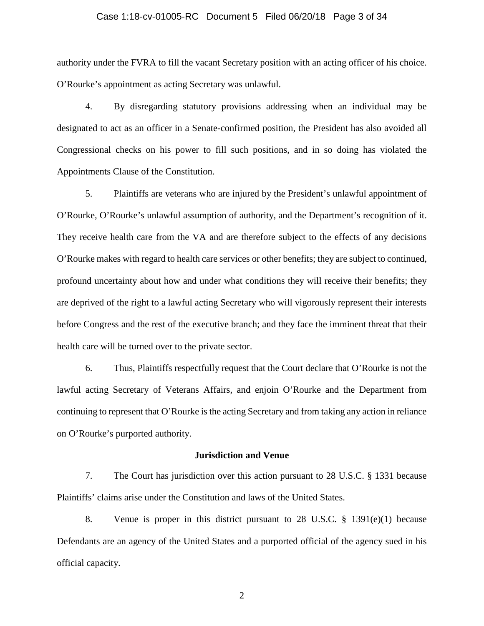### Case 1:18-cv-01005-RC Document 5 Filed 06/20/18 Page 3 of 34

authority under the FVRA to fill the vacant Secretary position with an acting officer of his choice. O'Rourke's appointment as acting Secretary was unlawful.

4. By disregarding statutory provisions addressing when an individual may be designated to act as an officer in a Senate-confirmed position, the President has also avoided all Congressional checks on his power to fill such positions, and in so doing has violated the Appointments Clause of the Constitution.

5. Plaintiffs are veterans who are injured by the President's unlawful appointment of O'Rourke, O'Rourke's unlawful assumption of authority, and the Department's recognition of it. They receive health care from the VA and are therefore subject to the effects of any decisions O'Rourke makes with regard to health care services or other benefits; they are subject to continued, profound uncertainty about how and under what conditions they will receive their benefits; they are deprived of the right to a lawful acting Secretary who will vigorously represent their interests before Congress and the rest of the executive branch; and they face the imminent threat that their health care will be turned over to the private sector.

6. Thus, Plaintiffs respectfully request that the Court declare that O'Rourke is not the lawful acting Secretary of Veterans Affairs, and enjoin O'Rourke and the Department from continuing to represent that O'Rourke is the acting Secretary and from taking any action in reliance on O'Rourke's purported authority.

### **Jurisdiction and Venue**

7. The Court has jurisdiction over this action pursuant to 28 U.S.C. § 1331 because Plaintiffs' claims arise under the Constitution and laws of the United States.

8. Venue is proper in this district pursuant to 28 U.S.C. § 1391(e)(1) because Defendants are an agency of the United States and a purported official of the agency sued in his official capacity.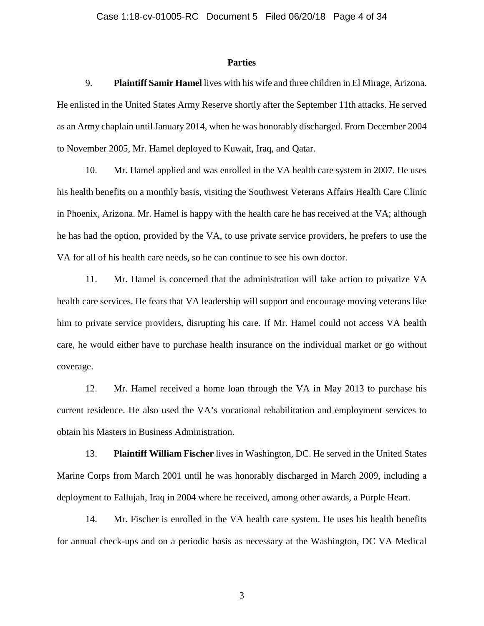### **Parties**

9. **Plaintiff Samir Hamel** lives with his wife and three children in El Mirage, Arizona. He enlisted in the United States Army Reserve shortly after the September 11th attacks. He served as an Army chaplain until January 2014, when he was honorably discharged. From December 2004 to November 2005, Mr. Hamel deployed to Kuwait, Iraq, and Qatar.

10. Mr. Hamel applied and was enrolled in the VA health care system in 2007. He uses his health benefits on a monthly basis, visiting the Southwest Veterans Affairs Health Care Clinic in Phoenix, Arizona. Mr. Hamel is happy with the health care he has received at the VA; although he has had the option, provided by the VA, to use private service providers, he prefers to use the VA for all of his health care needs, so he can continue to see his own doctor.

11. Mr. Hamel is concerned that the administration will take action to privatize VA health care services. He fears that VA leadership will support and encourage moving veterans like him to private service providers, disrupting his care. If Mr. Hamel could not access VA health care, he would either have to purchase health insurance on the individual market or go without coverage.

12. Mr. Hamel received a home loan through the VA in May 2013 to purchase his current residence. He also used the VA's vocational rehabilitation and employment services to obtain his Masters in Business Administration.

13. **Plaintiff William Fischer** lives in Washington, DC. He served in the United States Marine Corps from March 2001 until he was honorably discharged in March 2009, including a deployment to Fallujah, Iraq in 2004 where he received, among other awards, a Purple Heart.

14. Mr. Fischer is enrolled in the VA health care system. He uses his health benefits for annual check-ups and on a periodic basis as necessary at the Washington, DC VA Medical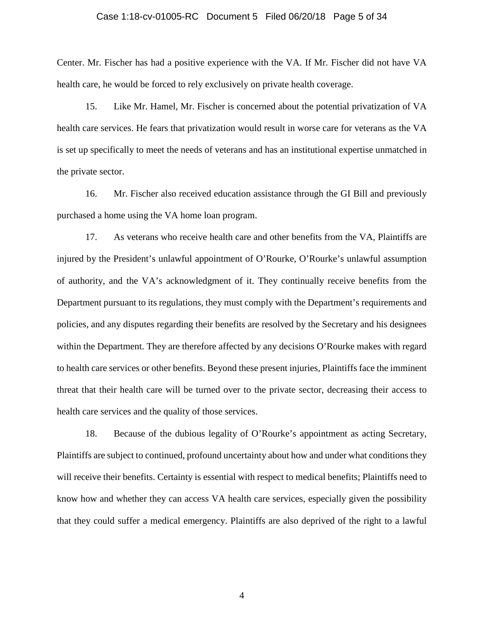### Case 1:18-cv-01005-RC Document 5 Filed 06/20/18 Page 5 of 34

Center. Mr. Fischer has had a positive experience with the VA. If Mr. Fischer did not have VA health care, he would be forced to rely exclusively on private health coverage.

15. Like Mr. Hamel, Mr. Fischer is concerned about the potential privatization of VA health care services. He fears that privatization would result in worse care for veterans as the VA is set up specifically to meet the needs of veterans and has an institutional expertise unmatched in the private sector.

16. Mr. Fischer also received education assistance through the GI Bill and previously purchased a home using the VA home loan program.

17. As veterans who receive health care and other benefits from the VA, Plaintiffs are injured by the President's unlawful appointment of O'Rourke, O'Rourke's unlawful assumption of authority, and the VA's acknowledgment of it. They continually receive benefits from the Department pursuant to its regulations, they must comply with the Department's requirements and policies, and any disputes regarding their benefits are resolved by the Secretary and his designees within the Department. They are therefore affected by any decisions O'Rourke makes with regard to health care services or other benefits. Beyond these present injuries, Plaintiffs face the imminent threat that their health care will be turned over to the private sector, decreasing their access to health care services and the quality of those services.

18. Because of the dubious legality of O'Rourke's appointment as acting Secretary, Plaintiffs are subject to continued, profound uncertainty about how and under what conditions they will receive their benefits. Certainty is essential with respect to medical benefits; Plaintiffs need to know how and whether they can access VA health care services, especially given the possibility that they could suffer a medical emergency. Plaintiffs are also deprived of the right to a lawful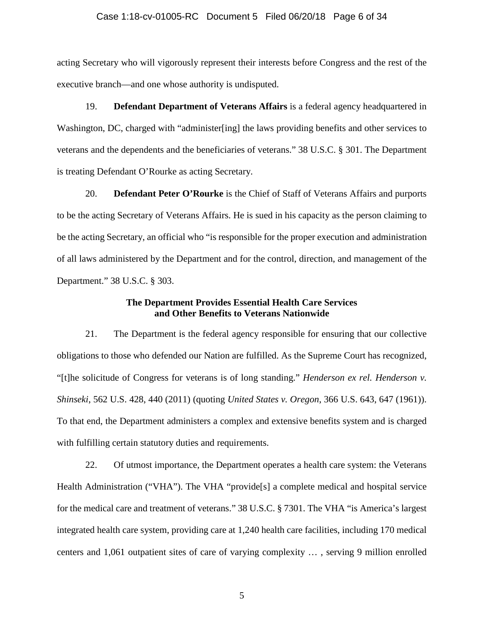### Case 1:18-cv-01005-RC Document 5 Filed 06/20/18 Page 6 of 34

acting Secretary who will vigorously represent their interests before Congress and the rest of the executive branch—and one whose authority is undisputed.

19. **Defendant Department of Veterans Affairs** is a federal agency headquartered in Washington, DC, charged with "administer[ing] the laws providing benefits and other services to veterans and the dependents and the beneficiaries of veterans." 38 U.S.C. § 301. The Department is treating Defendant O'Rourke as acting Secretary.

20. **Defendant Peter O'Rourke** is the Chief of Staff of Veterans Affairs and purports to be the acting Secretary of Veterans Affairs. He is sued in his capacity as the person claiming to be the acting Secretary, an official who "is responsible for the proper execution and administration of all laws administered by the Department and for the control, direction, and management of the Department." 38 U.S.C. § 303.

### **The Department Provides Essential Health Care Services and Other Benefits to Veterans Nationwide**

21. The Department is the federal agency responsible for ensuring that our collective obligations to those who defended our Nation are fulfilled. As the Supreme Court has recognized, "[t]he solicitude of Congress for veterans is of long standing." *Henderson ex rel. Henderson v. Shinseki*, 562 U.S. 428, 440 (2011) (quoting *United States v. Oregon*, 366 U.S. 643, 647 (1961)). To that end, the Department administers a complex and extensive benefits system and is charged with fulfilling certain statutory duties and requirements.

22. Of utmost importance, the Department operates a health care system: the Veterans Health Administration ("VHA"). The VHA "provide<sup>[s]</sup> a complete medical and hospital service for the medical care and treatment of veterans." 38 U.S.C. § 7301. The VHA "is America's largest integrated health care system, providing care at 1,240 health care facilities, including 170 medical centers and 1,061 outpatient sites of care of varying complexity … , serving 9 million enrolled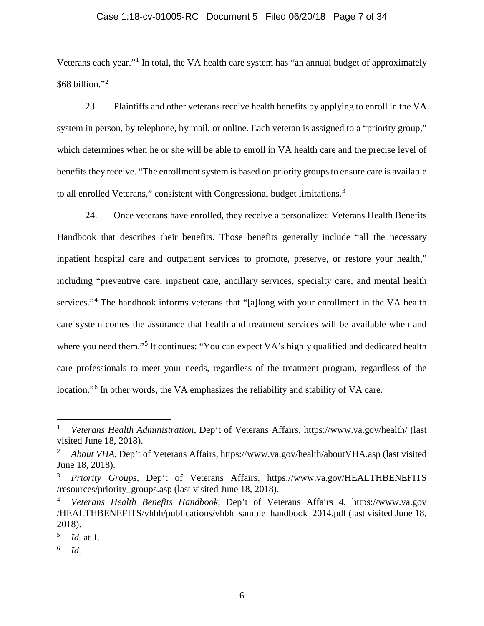### Case 1:18-cv-01005-RC Document 5 Filed 06/20/18 Page 7 of 34

Veterans each year."<sup>[1](#page-6-0)</sup> In total, the VA health care system has "an annual budget of approximately \$68 billion."[2](#page-6-1)

23. Plaintiffs and other veterans receive health benefits by applying to enroll in the VA system in person, by telephone, by mail, or online. Each veteran is assigned to a "priority group," which determines when he or she will be able to enroll in VA health care and the precise level of benefits they receive. "The enrollment system is based on priority groups to ensure care is available to all enrolled Veterans," consistent with Congressional budget limitations.<sup>[3](#page-6-2)</sup>

24. Once veterans have enrolled, they receive a personalized Veterans Health Benefits Handbook that describes their benefits. Those benefits generally include "all the necessary inpatient hospital care and outpatient services to promote, preserve, or restore your health," including "preventive care, inpatient care, ancillary services, specialty care, and mental health services."<sup>[4](#page-6-3)</sup> The handbook informs veterans that "[a]long with your enrollment in the VA health care system comes the assurance that health and treatment services will be available when and where you need them."<sup>[5](#page-6-4)</sup> It continues: "You can expect VA's highly qualified and dedicated health care professionals to meet your needs, regardless of the treatment program, regardless of the location."<sup>[6](#page-6-5)</sup> In other words, the VA emphasizes the reliability and stability of VA care.

<span id="page-6-5"></span><sup>6</sup> *Id.*

<span id="page-6-0"></span> <sup>1</sup> *Veterans Health Administration*, Dep't of Veterans Affairs, https://www.va.gov/health/ (last visited June 18, 2018).

<span id="page-6-1"></span><sup>2</sup> *About VHA*, Dep't of Veterans Affairs, https://www.va.gov/health/aboutVHA.asp (last visited June 18, 2018).

<span id="page-6-2"></span><sup>3</sup> *Priority Groups*, Dep't of Veterans Affairs, https://www.va.gov/HEALTHBENEFITS /resources/priority\_groups.asp (last visited June 18, 2018).

<span id="page-6-3"></span><sup>4</sup> *Veterans Health Benefits Handbook*, Dep't of Veterans Affairs 4, https://www.va.gov /HEALTHBENEFITS/vhbh/publications/vhbh\_sample\_handbook\_2014.pdf (last visited June 18, 2018).

<span id="page-6-4"></span><sup>5</sup> *Id.* at 1.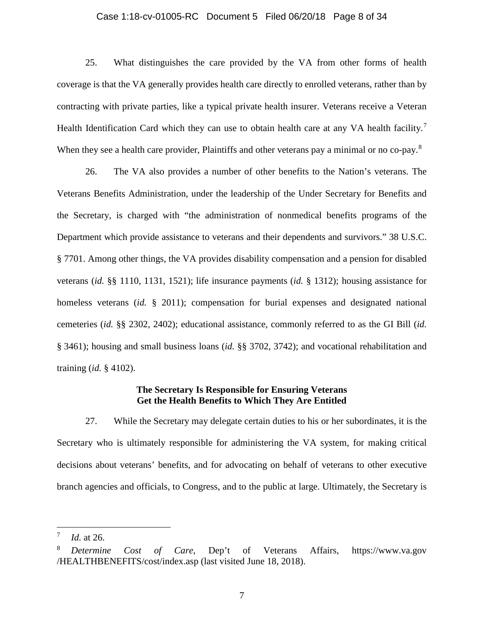### Case 1:18-cv-01005-RC Document 5 Filed 06/20/18 Page 8 of 34

25. What distinguishes the care provided by the VA from other forms of health coverage is that the VA generally provides health care directly to enrolled veterans, rather than by contracting with private parties, like a typical private health insurer. Veterans receive a Veteran Health Identification Card which they can use to obtain health care at any VA health facility.<sup>[7](#page-7-0)</sup> When they see a health care provider, Plaintiffs and other veterans pay a minimal or no co-pay.<sup>[8](#page-7-1)</sup>

26. The VA also provides a number of other benefits to the Nation's veterans. The Veterans Benefits Administration, under the leadership of the Under Secretary for Benefits and the Secretary, is charged with "the administration of nonmedical benefits programs of the Department which provide assistance to veterans and their dependents and survivors." 38 U.S.C. § 7701. Among other things, the VA provides disability compensation and a pension for disabled veterans (*id.* §§ 1110, 1131, 1521); life insurance payments (*id.* § 1312); housing assistance for homeless veterans (*id.* § 2011); compensation for burial expenses and designated national cemeteries (*id.* §§ 2302, 2402); educational assistance, commonly referred to as the GI Bill (*id.* § 3461); housing and small business loans (*id.* §§ 3702, 3742); and vocational rehabilitation and training (*id.* § 4102).

### **The Secretary Is Responsible for Ensuring Veterans Get the Health Benefits to Which They Are Entitled**

27. While the Secretary may delegate certain duties to his or her subordinates, it is the Secretary who is ultimately responsible for administering the VA system, for making critical decisions about veterans' benefits, and for advocating on behalf of veterans to other executive branch agencies and officials, to Congress, and to the public at large. Ultimately, the Secretary is

<span id="page-7-0"></span> <sup>7</sup> *Id.* at 26.

<span id="page-7-1"></span><sup>8</sup> *Determine Cost of Care*, Dep't of Veterans Affairs, https://www.va.gov /HEALTHBENEFITS/cost/index.asp (last visited June 18, 2018).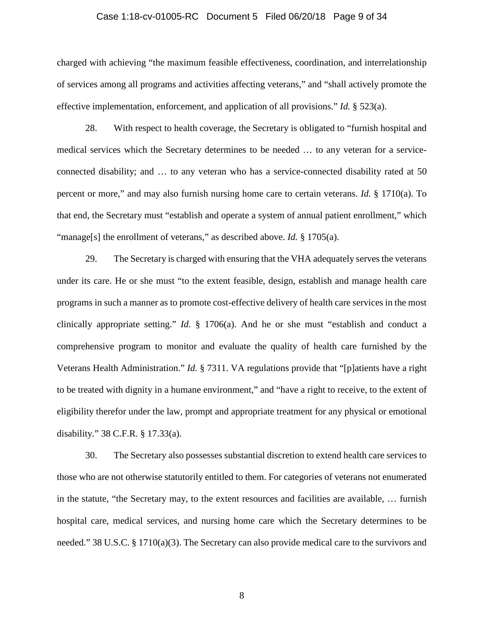### Case 1:18-cv-01005-RC Document 5 Filed 06/20/18 Page 9 of 34

charged with achieving "the maximum feasible effectiveness, coordination, and interrelationship of services among all programs and activities affecting veterans," and "shall actively promote the effective implementation, enforcement, and application of all provisions." *Id.* § 523(a).

28. With respect to health coverage, the Secretary is obligated to "furnish hospital and medical services which the Secretary determines to be needed … to any veteran for a serviceconnected disability; and … to any veteran who has a service-connected disability rated at 50 percent or more," and may also furnish nursing home care to certain veterans. *Id.* § 1710(a). To that end, the Secretary must "establish and operate a system of annual patient enrollment," which "manage<sup>[s]</sup> the enrollment of veterans," as described above. *Id.* § 1705(a).

29. The Secretary is charged with ensuring that the VHA adequately serves the veterans under its care. He or she must "to the extent feasible, design, establish and manage health care programs in such a manner as to promote cost-effective delivery of health care services in the most clinically appropriate setting." *Id.* § 1706(a). And he or she must "establish and conduct a comprehensive program to monitor and evaluate the quality of health care furnished by the Veterans Health Administration." *Id.* § 7311. VA regulations provide that "[p]atients have a right to be treated with dignity in a humane environment," and "have a right to receive, to the extent of eligibility therefor under the law, prompt and appropriate treatment for any physical or emotional disability." 38 C.F.R. § 17.33(a).

30. The Secretary also possesses substantial discretion to extend health care services to those who are not otherwise statutorily entitled to them. For categories of veterans not enumerated in the statute, "the Secretary may, to the extent resources and facilities are available, … furnish hospital care, medical services, and nursing home care which the Secretary determines to be needed." 38 U.S.C. § 1710(a)(3). The Secretary can also provide medical care to the survivors and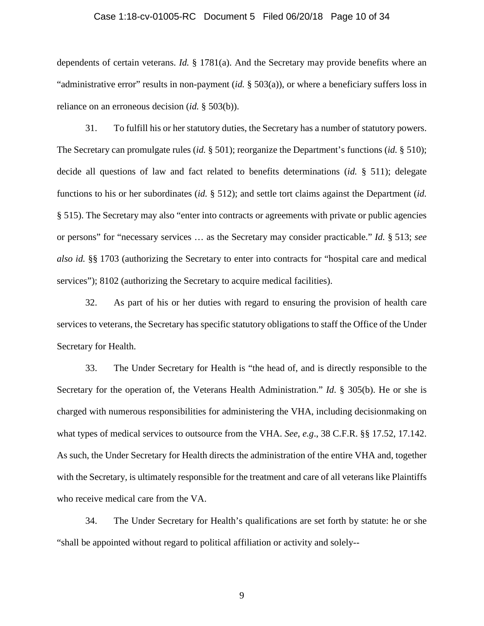### Case 1:18-cv-01005-RC Document 5 Filed 06/20/18 Page 10 of 34

dependents of certain veterans. *Id.* § 1781(a). And the Secretary may provide benefits where an "administrative error" results in non-payment (*id.* § 503(a)), or where a beneficiary suffers loss in reliance on an erroneous decision (*id.* § 503(b)).

31. To fulfill his or her statutory duties, the Secretary has a number of statutory powers. The Secretary can promulgate rules (*id.* § 501); reorganize the Department's functions (*id.* § 510); decide all questions of law and fact related to benefits determinations (*id.* § 511); delegate functions to his or her subordinates (*id.* § 512); and settle tort claims against the Department (*id.* § 515). The Secretary may also "enter into contracts or agreements with private or public agencies or persons" for "necessary services … as the Secretary may consider practicable." *Id.* § 513; *see also id.* §§ 1703 (authorizing the Secretary to enter into contracts for "hospital care and medical services"); 8102 (authorizing the Secretary to acquire medical facilities).

32. As part of his or her duties with regard to ensuring the provision of health care services to veterans, the Secretary has specific statutory obligations to staff the Office of the Under Secretary for Health.

33. The Under Secretary for Health is "the head of, and is directly responsible to the Secretary for the operation of, the Veterans Health Administration." *Id*. § 305(b). He or she is charged with numerous responsibilities for administering the VHA, including decisionmaking on what types of medical services to outsource from the VHA. *See*, *e.g*., 38 C.F.R. §§ 17.52, 17.142. As such, the Under Secretary for Health directs the administration of the entire VHA and, together with the Secretary, is ultimately responsible for the treatment and care of all veterans like Plaintiffs who receive medical care from the VA.

34. The Under Secretary for Health's qualifications are set forth by statute: he or she "shall be appointed without regard to political affiliation or activity and solely--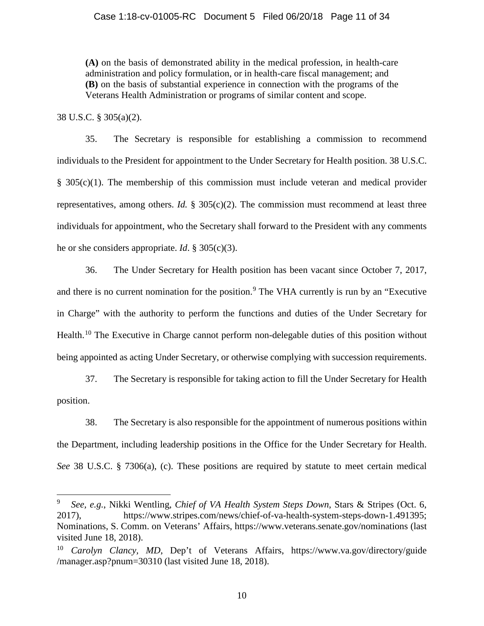**(A)** on the basis of demonstrated ability in the medical profession, in health-care administration and policy formulation, or in health-care fiscal management; and **(B)** on the basis of substantial experience in connection with the programs of the Veterans Health Administration or programs of similar content and scope.

38 U.S.C. § 305(a)(2).

35. The Secretary is responsible for establishing a commission to recommend individuals to the President for appointment to the Under Secretary for Health position. 38 U.S.C. § 305(c)(1). The membership of this commission must include veteran and medical provider representatives, among others. *Id.* § 305(c)(2). The commission must recommend at least three individuals for appointment, who the Secretary shall forward to the President with any comments he or she considers appropriate. *Id*. § 305(c)(3).

36. The Under Secretary for Health position has been vacant since October 7, 2017, and there is no current nomination for the position.<sup>[9](#page-10-0)</sup> The VHA currently is run by an "Executive" in Charge" with the authority to perform the functions and duties of the Under Secretary for Health.<sup>[10](#page-10-1)</sup> The Executive in Charge cannot perform non-delegable duties of this position without being appointed as acting Under Secretary, or otherwise complying with succession requirements.

37. The Secretary is responsible for taking action to fill the Under Secretary for Health position.

38. The Secretary is also responsible for the appointment of numerous positions within the Department, including leadership positions in the Office for the Under Secretary for Health. *See* 38 U.S.C. § 7306(a), (c). These positions are required by statute to meet certain medical

<span id="page-10-0"></span> <sup>9</sup> *See, e.g.*, Nikki Wentling, *Chief of VA Health System Steps Down*, Stars & Stripes (Oct. 6, 2017), https://www.stripes.com/news/chief-of-va-health-system-steps-down-1.491395; Nominations, S. Comm. on Veterans' Affairs, https://www.veterans.senate.gov/nominations (last visited June 18, 2018).

<span id="page-10-1"></span><sup>&</sup>lt;sup>10</sup> *Carolyn Clancy, MD*, Dep't of Veterans Affairs, https://www.va.gov/directory/guide /manager.asp?pnum=30310 (last visited June 18, 2018).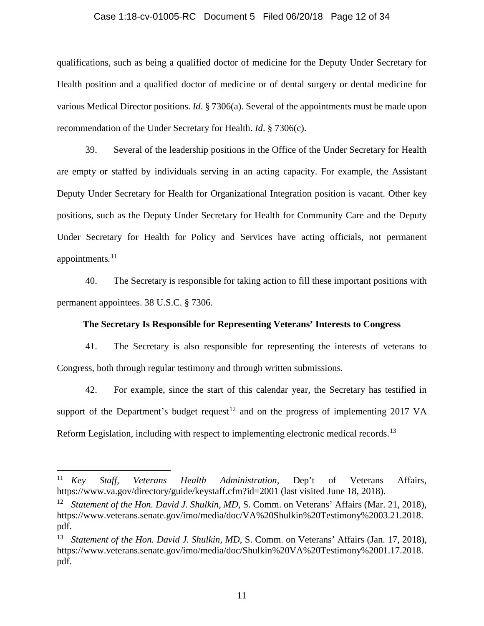#### Case 1:18-cv-01005-RC Document 5 Filed 06/20/18 Page 12 of 34

qualifications, such as being a qualified doctor of medicine for the Deputy Under Secretary for Health position and a qualified doctor of medicine or of dental surgery or dental medicine for various Medical Director positions. *Id*. § 7306(a). Several of the appointments must be made upon recommendation of the Under Secretary for Health. *Id*. § 7306(c).

39. Several of the leadership positions in the Office of the Under Secretary for Health are empty or staffed by individuals serving in an acting capacity. For example, the Assistant Deputy Under Secretary for Health for Organizational Integration position is vacant. Other key positions, such as the Deputy Under Secretary for Health for Community Care and the Deputy Under Secretary for Health for Policy and Services have acting officials, not permanent appointments*.* [11](#page-11-0)

40. The Secretary is responsible for taking action to fill these important positions with permanent appointees. 38 U.S.C. § 7306.

### **The Secretary Is Responsible for Representing Veterans' Interests to Congress**

41. The Secretary is also responsible for representing the interests of veterans to Congress, both through regular testimony and through written submissions.

42. For example, since the start of this calendar year, the Secretary has testified in support of the Department's budget request<sup>[12](#page-11-1)</sup> and on the progress of implementing 2017 VA Reform Legislation, including with respect to implementing electronic medical records.<sup>[13](#page-11-2)</sup>

<span id="page-11-0"></span> <sup>11</sup> *Key Staff, Veterans Health Administration*, Dep't of Veterans Affairs, https://www.va.gov/directory/guide/keystaff.cfm?id=2001 (last visited June 18, 2018).

<span id="page-11-1"></span><sup>&</sup>lt;sup>12</sup> *Statement of the Hon. David J. Shulkin, MD, S. Comm. on Veterans' Affairs (Mar. 21, 2018),* https://www.veterans.senate.gov/imo/media/doc/VA%20Shulkin%20Testimony%2003.21.2018. pdf.

<span id="page-11-2"></span><sup>&</sup>lt;sup>13</sup> *Statement of the Hon. David J. Shulkin, MD, S. Comm. on Veterans' Affairs (Jan. 17, 2018),* https://www.veterans.senate.gov/imo/media/doc/Shulkin%20VA%20Testimony%2001.17.2018. pdf.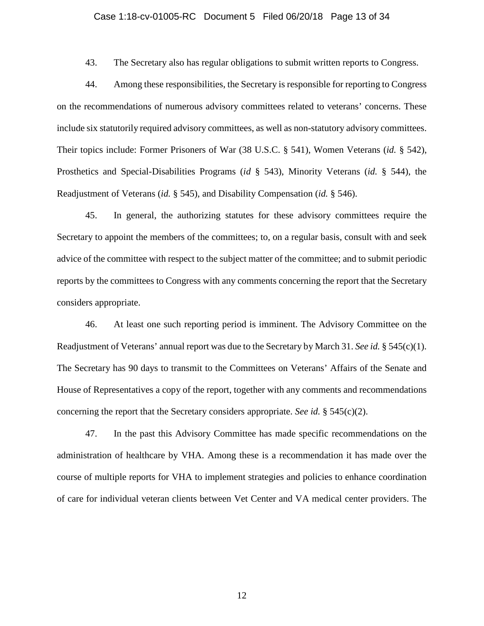### Case 1:18-cv-01005-RC Document 5 Filed 06/20/18 Page 13 of 34

43. The Secretary also has regular obligations to submit written reports to Congress.

44. Among these responsibilities, the Secretary is responsible for reporting to Congress on the recommendations of numerous advisory committees related to veterans' concerns. These include six statutorily required advisory committees, as well as non-statutory advisory committees. Their topics include: Former Prisoners of War (38 U.S.C. § 541), Women Veterans (*id.* § 542), Prosthetics and Special-Disabilities Programs (*id* § 543), Minority Veterans (*id.* § 544), the Readjustment of Veterans (*id.* § 545), and Disability Compensation (*id.* § 546).

45. In general, the authorizing statutes for these advisory committees require the Secretary to appoint the members of the committees; to, on a regular basis, consult with and seek advice of the committee with respect to the subject matter of the committee; and to submit periodic reports by the committees to Congress with any comments concerning the report that the Secretary considers appropriate.

46. At least one such reporting period is imminent. The Advisory Committee on the Readjustment of Veterans' annual report was due to the Secretary by March 31. *See id.* § 545(c)(1). The Secretary has 90 days to transmit to the Committees on Veterans' Affairs of the Senate and House of Representatives a copy of the report, together with any comments and recommendations concerning the report that the Secretary considers appropriate. *See id.* § 545(c)(2).

47. In the past this Advisory Committee has made specific recommendations on the administration of healthcare by VHA. Among these is a recommendation it has made over the course of multiple reports for VHA to implement strategies and policies to enhance coordination of care for individual veteran clients between Vet Center and VA medical center providers. The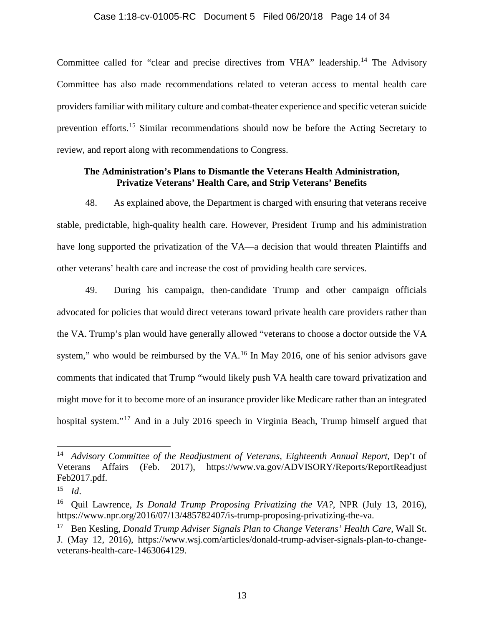### Case 1:18-cv-01005-RC Document 5 Filed 06/20/18 Page 14 of 34

Committee called for "clear and precise directives from VHA" leadership.<sup>[14](#page-13-0)</sup> The Advisory Committee has also made recommendations related to veteran access to mental health care providers familiar with military culture and combat-theater experience and specific veteran suicide prevention efforts.[15](#page-13-1) Similar recommendations should now be before the Acting Secretary to review, and report along with recommendations to Congress.

### **The Administration's Plans to Dismantle the Veterans Health Administration, Privatize Veterans' Health Care, and Strip Veterans' Benefits**

48. As explained above, the Department is charged with ensuring that veterans receive stable, predictable, high-quality health care. However, President Trump and his administration have long supported the privatization of the VA—a decision that would threaten Plaintiffs and other veterans' health care and increase the cost of providing health care services.

49. During his campaign, then-candidate Trump and other campaign officials advocated for policies that would direct veterans toward private health care providers rather than the VA. Trump's plan would have generally allowed "veterans to choose a doctor outside the VA system," who would be reimbursed by the VA.<sup>[16](#page-13-2)</sup> In May 2016, one of his senior advisors gave comments that indicated that Trump "would likely push VA health care toward privatization and might move for it to become more of an insurance provider like Medicare rather than an integrated hospital system."[17](#page-13-3) And in a July 2016 speech in Virginia Beach, Trump himself argued that

<span id="page-13-0"></span><sup>&</sup>lt;sup>14</sup> Advisory Committee of the Readjustment of Veterans, Eighteenth Annual Report, Dep't of Veterans Affairs (Feb. 2017), https://www.va.gov/ADVISORY/Reports/ReportReadjust Feb2017.pdf.

<span id="page-13-1"></span><sup>15</sup> *Id*.

<span id="page-13-2"></span><sup>16</sup> Quil Lawrence, *Is Donald Trump Proposing Privatizing the VA?*, NPR (July 13, 2016), https://www.npr.org/2016/07/13/485782407/is-trump-proposing-privatizing-the-va.

<span id="page-13-3"></span><sup>17</sup> Ben Kesling, *Donald Trump Adviser Signals Plan to Change Veterans' Health Care*, Wall St. J. (May 12, 2016), https://www.wsj.com/articles/donald-trump-adviser-signals-plan-to-changeveterans-health-care-1463064129.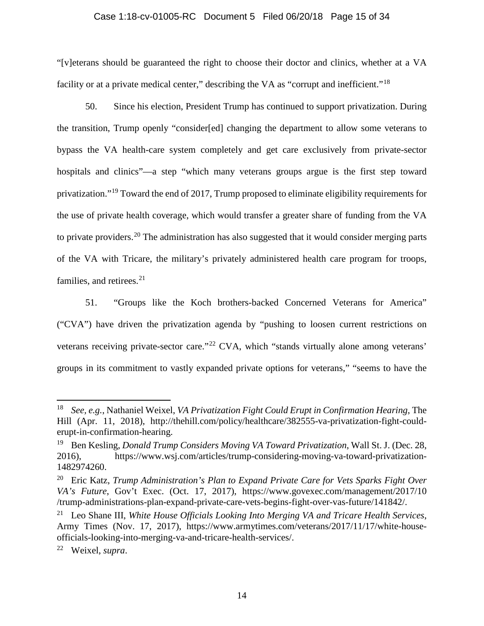### Case 1:18-cv-01005-RC Document 5 Filed 06/20/18 Page 15 of 34

"[v]eterans should be guaranteed the right to choose their doctor and clinics, whether at a VA facility or at a private medical center," describing the VA as "corrupt and inefficient."<sup>[18](#page-14-0)</sup>

50. Since his election, President Trump has continued to support privatization. During the transition, Trump openly "consider[ed] changing the department to allow some veterans to bypass the VA health-care system completely and get care exclusively from private-sector hospitals and clinics"—a step "which many veterans groups argue is the first step toward privatization."[19](#page-14-1) Toward the end of 2017, Trump proposed to eliminate eligibility requirements for the use of private health coverage, which would transfer a greater share of funding from the VA to private providers.<sup>[20](#page-14-2)</sup> The administration has also suggested that it would consider merging parts of the VA with Tricare, the military's privately administered health care program for troops, families, and retirees. $2<sup>1</sup>$ 

51. "Groups like the Koch brothers-backed Concerned Veterans for America" ("CVA") have driven the privatization agenda by "pushing to loosen current restrictions on veterans receiving private-sector care."<sup>[22](#page-14-4)</sup> CVA, which "stands virtually alone among veterans' groups in its commitment to vastly expanded private options for veterans," "seems to have the

<span id="page-14-0"></span> <sup>18</sup> *See, e.g.*, Nathaniel Weixel, *VA Privatization Fight Could Erupt in Confirmation Hearing*, The Hill (Apr. 11, 2018), http://thehill.com/policy/healthcare/382555-va-privatization-fight-coulderupt-in-confirmation-hearing.

<span id="page-14-1"></span><sup>19</sup> Ben Kesling, *Donald Trump Considers Moving VA Toward Privatization*, Wall St. J. (Dec. 28, 2016), https://www.wsj.com/articles/trump-considering-moving-va-toward-privatization-1482974260.

<span id="page-14-2"></span><sup>20</sup> Eric Katz, *Trump Administration's Plan to Expand Private Care for Vets Sparks Fight Over VA's Future*, Gov't Exec. (Oct. 17, 2017), https://www.govexec.com/management/2017/10 /trump-administrations-plan-expand-private-care-vets-begins-fight-over-vas-future/141842/.

<span id="page-14-3"></span><sup>21</sup> Leo Shane III, *White House Officials Looking Into Merging VA and Tricare Health Services*, Army Times (Nov. 17, 2017), https://www.armytimes.com/veterans/2017/11/17/white-houseofficials-looking-into-merging-va-and-tricare-health-services/.

<span id="page-14-4"></span><sup>22</sup> Weixel, *supra*.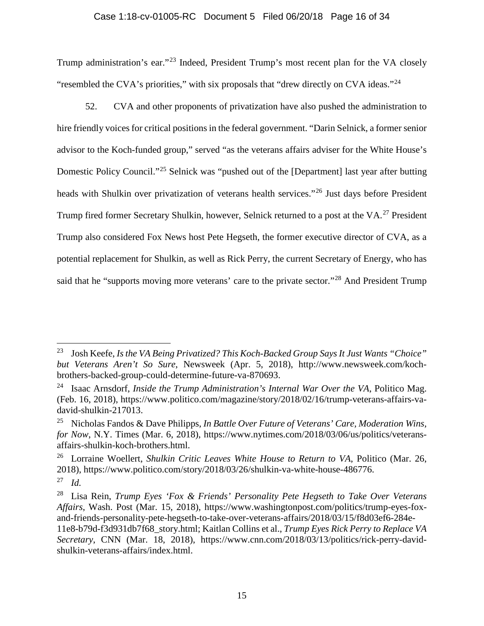### Case 1:18-cv-01005-RC Document 5 Filed 06/20/18 Page 16 of 34

Trump administration's ear."[23](#page-15-0) Indeed, President Trump's most recent plan for the VA closely "resembled the CVA's priorities," with six proposals that "drew directly on CVA ideas."<sup>[24](#page-15-1)</sup>

52. CVA and other proponents of privatization have also pushed the administration to hire friendly voices for critical positions in the federal government. "Darin Selnick, a former senior advisor to the Koch-funded group," served "as the veterans affairs adviser for the White House's Domestic Policy Council."[25](#page-15-2) Selnick was "pushed out of the [Department] last year after butting heads with Shulkin over privatization of veterans health services."[26](#page-15-3) Just days before President Trump fired former Secretary Shulkin, however, Selnick returned to a post at the VA.<sup>[27](#page-15-4)</sup> President Trump also considered Fox News host Pete Hegseth, the former executive director of CVA, as a potential replacement for Shulkin, as well as Rick Perry, the current Secretary of Energy, who has said that he "supports moving more veterans' care to the private sector."<sup>[28](#page-15-5)</sup> And President Trump

<span id="page-15-0"></span> <sup>23</sup> Josh Keefe, *Is the VA Being Privatized? This Koch-Backed Group Says It Just Wants "Choice" but Veterans Aren't So Sure*, Newsweek (Apr. 5, 2018), http://www.newsweek.com/kochbrothers-backed-group-could-determine-future-va-870693.

<span id="page-15-1"></span><sup>24</sup> Isaac Arnsdorf, *Inside the Trump Administration's Internal War Over the VA*, Politico Mag. (Feb. 16, 2018), https://www.politico.com/magazine/story/2018/02/16/trump-veterans-affairs-vadavid-shulkin-217013.

<span id="page-15-2"></span><sup>25</sup> Nicholas Fandos & Dave Philipps, *In Battle Over Future of Veterans' Care, Moderation Wins, for Now*, N.Y. Times (Mar. 6, 2018), https://www.nytimes.com/2018/03/06/us/politics/veteransaffairs-shulkin-koch-brothers.html.

<span id="page-15-3"></span><sup>26</sup> Lorraine Woellert, *Shulkin Critic Leaves White House to Return to VA*, Politico (Mar. 26, 2018), https://www.politico.com/story/2018/03/26/shulkin-va-white-house-486776.

<span id="page-15-4"></span><sup>27</sup> *Id.*

<span id="page-15-5"></span><sup>28</sup> Lisa Rein, *Trump Eyes 'Fox & Friends' Personality Pete Hegseth to Take Over Veterans Affairs*, Wash. Post (Mar. 15, 2018), https://www.washingtonpost.com/politics/trump-eyes-foxand-friends-personality-pete-hegseth-to-take-over-veterans-affairs/2018/03/15/f8d03ef6-284e-11e8-b79d-f3d931db7f68\_story.html; Kaitlan Collins et al., *Trump Eyes Rick Perry to Replace VA Secretary*, CNN (Mar. 18, 2018), https://www.cnn.com/2018/03/13/politics/rick-perry-davidshulkin-veterans-affairs/index.html.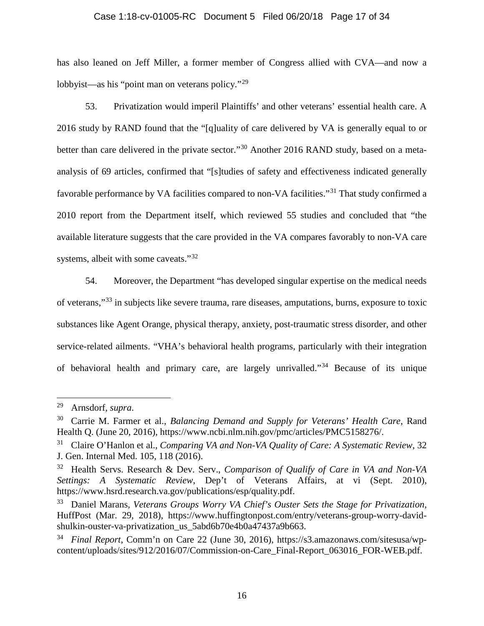### Case 1:18-cv-01005-RC Document 5 Filed 06/20/18 Page 17 of 34

has also leaned on Jeff Miller, a former member of Congress allied with CVA—and now a lobbyist—as his "point man on veterans policy."<sup>[29](#page-16-0)</sup>

53. Privatization would imperil Plaintiffs' and other veterans' essential health care. A 2016 study by RAND found that the "[q]uality of care delivered by VA is generally equal to or better than care delivered in the private sector."<sup>[30](#page-16-1)</sup> Another 2016 RAND study, based on a metaanalysis of 69 articles, confirmed that "[s]tudies of safety and effectiveness indicated generally favorable performance by VA facilities compared to non-VA facilities."[31](#page-16-2) That study confirmed a 2010 report from the Department itself, which reviewed 55 studies and concluded that "the available literature suggests that the care provided in the VA compares favorably to non-VA care systems, albeit with some caveats."<sup>[32](#page-16-3)</sup>

54. Moreover, the Department "has developed singular expertise on the medical needs of veterans,"[33](#page-16-4) in subjects like severe trauma, rare diseases, amputations, burns, exposure to toxic substances like Agent Orange, physical therapy, anxiety, post-traumatic stress disorder, and other service-related ailments. "VHA's behavioral health programs, particularly with their integration of behavioral health and primary care, are largely unrivalled."[34](#page-16-5) Because of its unique

<span id="page-16-0"></span> <sup>29</sup> Arnsdorf, *supra*.

<span id="page-16-1"></span><sup>30</sup> Carrie M. Farmer et al., *Balancing Demand and Supply for Veterans' Health Care*, Rand Health Q. (June 20, 2016), https://www.ncbi.nlm.nih.gov/pmc/articles/PMC5158276/.

<span id="page-16-2"></span><sup>31</sup> Claire O'Hanlon et al., *Comparing VA and Non-VA Quality of Care: A Systematic Review*, 32 J. Gen. Internal Med. 105, 118 (2016).

<span id="page-16-3"></span><sup>32</sup> Health Servs. Research & Dev. Serv., *Comparison of Qualify of Care in VA and Non-VA Settings: A Systematic Review*, Dep't of Veterans Affairs, at vi (Sept. 2010), https://www.hsrd.research.va.gov/publications/esp/quality.pdf.

<span id="page-16-4"></span><sup>33</sup> Daniel Marans, *Veterans Groups Worry VA Chief's Ouster Sets the Stage for Privatization*, HuffPost (Mar. 29, 2018), https://www.huffingtonpost.com/entry/veterans-group-worry-davidshulkin-ouster-va-privatization\_us\_5abd6b70e4b0a47437a9b663.

<span id="page-16-5"></span><sup>34</sup> *Final Report*, Comm'n on Care 22 (June 30, 2016), https://s3.amazonaws.com/sitesusa/wpcontent/uploads/sites/912/2016/07/Commission-on-Care\_Final-Report\_063016\_FOR-WEB.pdf.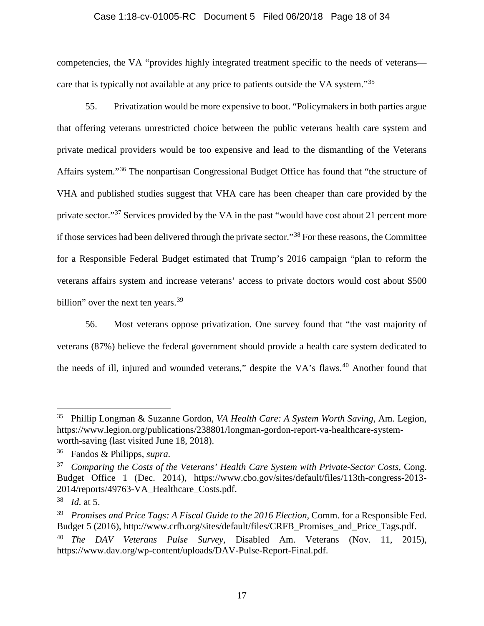### Case 1:18-cv-01005-RC Document 5 Filed 06/20/18 Page 18 of 34

competencies, the VA "provides highly integrated treatment specific to the needs of veterans— care that is typically not available at any price to patients outside the VA system."<sup>[35](#page-17-0)</sup>

55. Privatization would be more expensive to boot. "Policymakers in both parties argue that offering veterans unrestricted choice between the public veterans health care system and private medical providers would be too expensive and lead to the dismantling of the Veterans Affairs system."[36](#page-17-1) The nonpartisan Congressional Budget Office has found that "the structure of VHA and published studies suggest that VHA care has been cheaper than care provided by the private sector."<sup>[37](#page-17-2)</sup> Services provided by the VA in the past "would have cost about 21 percent more if those services had been delivered through the private sector."[38](#page-17-3) For these reasons, the Committee for a Responsible Federal Budget estimated that Trump's 2016 campaign "plan to reform the veterans affairs system and increase veterans' access to private doctors would cost about \$500 billion" over the next ten years. $39$ 

56. Most veterans oppose privatization. One survey found that "the vast majority of veterans (87%) believe the federal government should provide a health care system dedicated to the needs of ill, injured and wounded veterans," despite the VA's flaws.<sup>[40](#page-17-5)</sup> Another found that

<span id="page-17-0"></span> <sup>35</sup> Phillip Longman & Suzanne Gordon, *VA Health Care: A System Worth Saving*, Am. Legion, https://www.legion.org/publications/238801/longman-gordon-report-va-healthcare-systemworth-saving (last visited June 18, 2018).

<span id="page-17-1"></span><sup>36</sup> Fandos & Philipps, *supra*.

<span id="page-17-2"></span><sup>37</sup> *Comparing the Costs of the Veterans' Health Care System with Private-Sector Costs*, Cong. Budget Office 1 (Dec. 2014), https://www.cbo.gov/sites/default/files/113th-congress-2013- 2014/reports/49763-VA\_Healthcare\_Costs.pdf.

<span id="page-17-3"></span><sup>38</sup> *Id.* at 5.

<span id="page-17-4"></span><sup>&</sup>lt;sup>39</sup> *Promises and Price Tags: A Fiscal Guide to the 2016 Election, Comm. for a Responsible Fed.* Budget 5 (2016), http://www.crfb.org/sites/default/files/CRFB\_Promises\_and\_Price\_Tags.pdf.

<span id="page-17-5"></span><sup>40</sup> *The DAV Veterans Pulse Survey*, Disabled Am. Veterans (Nov. 11, 2015), https://www.dav.org/wp-content/uploads/DAV-Pulse-Report-Final.pdf.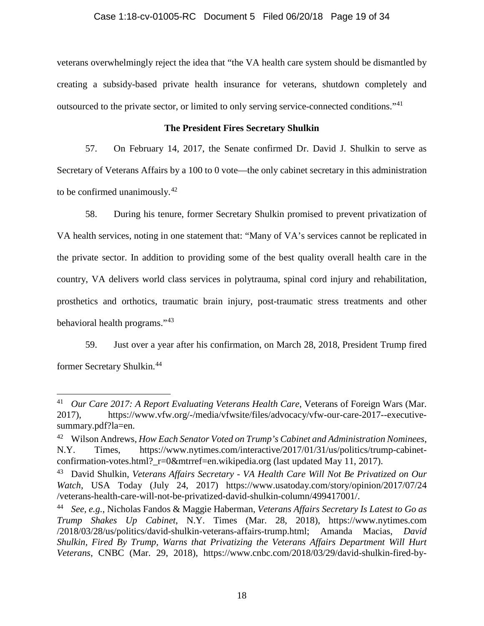### Case 1:18-cv-01005-RC Document 5 Filed 06/20/18 Page 19 of 34

veterans overwhelmingly reject the idea that "the VA health care system should be dismantled by creating a subsidy-based private health insurance for veterans, shutdown completely and outsourced to the private sector, or limited to only serving service-connected conditions."[41](#page-18-0)

## **The President Fires Secretary Shulkin**

57. On February 14, 2017, the Senate confirmed Dr. David J. Shulkin to serve as Secretary of Veterans Affairs by a 100 to 0 vote—the only cabinet secretary in this administration to be confirmed unanimously. $42$ 

58. During his tenure, former Secretary Shulkin promised to prevent privatization of VA health services, noting in one statement that: "Many of VA's services cannot be replicated in the private sector. In addition to providing some of the best quality overall health care in the country, VA delivers world class services in polytrauma, spinal cord injury and rehabilitation, prosthetics and orthotics, traumatic brain injury, post-traumatic stress treatments and other behavioral health programs."[43](#page-18-2)

59. Just over a year after his confirmation, on March 28, 2018, President Trump fired former Secretary Shulkin.[44](#page-18-3)

<span id="page-18-0"></span> <sup>41</sup> *Our Care 2017: A Report Evaluating Veterans Health Care*, Veterans of Foreign Wars (Mar. 2017), https://www.vfw.org/-/media/vfwsite/files/advocacy/vfw-our-care-2017--executivesummary.pdf?la=en.

<span id="page-18-1"></span><sup>42</sup> Wilson Andrews, *How Each Senator Voted on Trump's Cabinet and Administration Nominees*, N.Y. Times, https://www.nytimes.com/interactive/2017/01/31/us/politics/trump-cabinetconfirmation-votes.html? r=0&mtrref=en.wikipedia.org (last updated May 11, 2017).

<span id="page-18-2"></span><sup>43</sup> David Shulkin, *Veterans Affairs Secretary - VA Health Care Will Not Be Privatized on Our Watch*, USA Today (July 24, 2017) https://www.usatoday.com/story/opinion/2017/07/24 /veterans-health-care-will-not-be-privatized-david-shulkin-column/499417001/.

<span id="page-18-3"></span><sup>44</sup> *See, e.g.*, Nicholas Fandos & Maggie Haberman, *Veterans Affairs Secretary Is Latest to Go as Trump Shakes Up Cabinet*, N.Y. Times (Mar. 28, 2018), https://www.nytimes.com /2018/03/28/us/politics/david-shulkin-veterans-affairs-trump.html; Amanda Macias, *David Shulkin, Fired By Trump, Warns that Privatizing the Veterans Affairs Department Will Hurt Veterans*, CNBC (Mar. 29, 2018), https://www.cnbc.com/2018/03/29/david-shulkin-fired-by-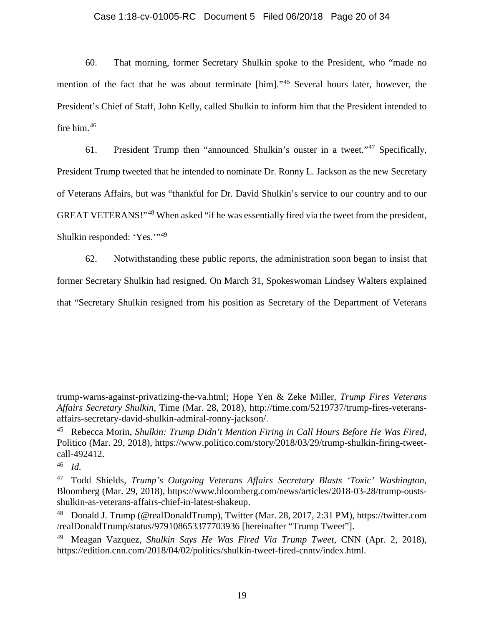### Case 1:18-cv-01005-RC Document 5 Filed 06/20/18 Page 20 of 34

60. That morning, former Secretary Shulkin spoke to the President, who "made no mention of the fact that he was about terminate [him]."[45](#page-19-0) Several hours later, however, the President's Chief of Staff, John Kelly, called Shulkin to inform him that the President intended to fire him. [46](#page-19-1)

61. President Trump then "announced Shulkin's ouster in a tweet."[47](#page-19-2) Specifically, President Trump tweeted that he intended to nominate Dr. Ronny L. Jackson as the new Secretary of Veterans Affairs, but was "thankful for Dr. David Shulkin's service to our country and to our GREAT VETERANS!"<sup>[48](#page-19-3)</sup> When asked "if he was essentially fired via the tweet from the president, Shulkin responded: 'Yes.'"[49](#page-19-4)

62. Notwithstanding these public reports, the administration soon began to insist that former Secretary Shulkin had resigned. On March 31, Spokeswoman Lindsey Walters explained that "Secretary Shulkin resigned from his position as Secretary of the Department of Veterans

 $\overline{a}$ 

trump-warns-against-privatizing-the-va.html; Hope Yen & Zeke Miller, *Trump Fires Veterans Affairs Secretary Shulkin*, Time (Mar. 28, 2018), http://time.com/5219737/trump-fires-veteransaffairs-secretary-david-shulkin-admiral-ronny-jackson/.

<span id="page-19-0"></span><sup>45</sup> Rebecca Morin, *Shulkin: Trump Didn't Mention Firing in Call Hours Before He Was Fired*, Politico (Mar. 29, 2018), https://www.politico.com/story/2018/03/29/trump-shulkin-firing-tweetcall-492412.

<span id="page-19-1"></span><sup>46</sup> *Id.*

<span id="page-19-2"></span><sup>47</sup> Todd Shields, *Trump's Outgoing Veterans Affairs Secretary Blasts 'Toxic' Washington*, Bloomberg (Mar. 29, 2018), https://www.bloomberg.com/news/articles/2018-03-28/trump-oustsshulkin-as-veterans-affairs-chief-in-latest-shakeup.

<span id="page-19-3"></span><sup>48</sup> Donald J. Trump (@realDonaldTrump), Twitter (Mar. 28, 2017, 2:31 PM), https://twitter.com /realDonaldTrump/status/979108653377703936 [hereinafter "Trump Tweet"].

<span id="page-19-4"></span><sup>49</sup> Meagan Vazquez, *Shulkin Says He Was Fired Via Trump Tweet*, CNN (Apr. 2, 2018), https://edition.cnn.com/2018/04/02/politics/shulkin-tweet-fired-cnntv/index.html.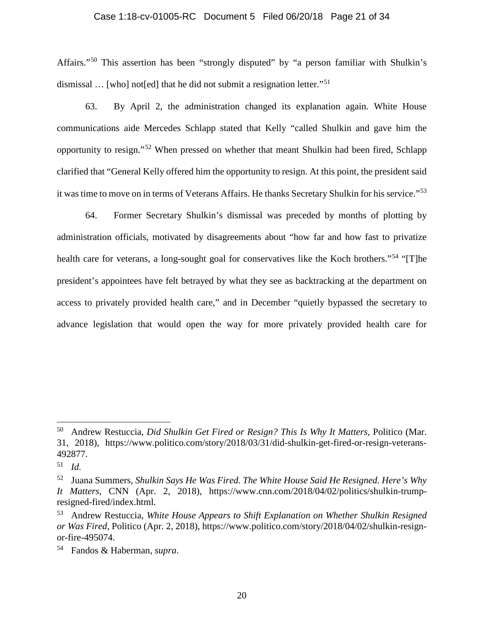### Case 1:18-cv-01005-RC Document 5 Filed 06/20/18 Page 21 of 34

Affairs."[50](#page-20-0) This assertion has been "strongly disputed" by "a person familiar with Shulkin's dismissal ... [who] not[ed] that he did not submit a resignation letter."<sup>[51](#page-20-1)</sup>

63. By April 2, the administration changed its explanation again. White House communications aide Mercedes Schlapp stated that Kelly "called Shulkin and gave him the opportunity to resign."[52](#page-20-2) When pressed on whether that meant Shulkin had been fired, Schlapp clarified that "General Kelly offered him the opportunity to resign. At this point, the president said it was time to move on in terms of Veterans Affairs. He thanks Secretary Shulkin for his service."[53](#page-20-3)

64. Former Secretary Shulkin's dismissal was preceded by months of plotting by administration officials, motivated by disagreements about "how far and how fast to privatize health care for veterans, a long-sought goal for conservatives like the Koch brothers."<sup>[54](#page-20-4)</sup> "[T]he president's appointees have felt betrayed by what they see as backtracking at the department on access to privately provided health care," and in December "quietly bypassed the secretary to advance legislation that would open the way for more privately provided health care for

<span id="page-20-0"></span> <sup>50</sup> Andrew Restuccia, *Did Shulkin Get Fired or Resign? This Is Why It Matters*, Politico (Mar. 31, 2018), https://www.politico.com/story/2018/03/31/did-shulkin-get-fired-or-resign-veterans-492877.

<span id="page-20-1"></span><sup>51</sup> *Id.*

<span id="page-20-2"></span><sup>52</sup> Juana Summers, *Shulkin Says He Was Fired. The White House Said He Resigned. Here's Why It Matters*, CNN (Apr. 2, 2018), https://www.cnn.com/2018/04/02/politics/shulkin-trumpresigned-fired/index.html.

<span id="page-20-3"></span><sup>53</sup> Andrew Restuccia, *White House Appears to Shift Explanation on Whether Shulkin Resigned or Was Fired*, Politico (Apr. 2, 2018), https://www.politico.com/story/2018/04/02/shulkin-resignor-fire-495074.

<span id="page-20-4"></span><sup>54</sup> Fandos & Haberman, *supra*.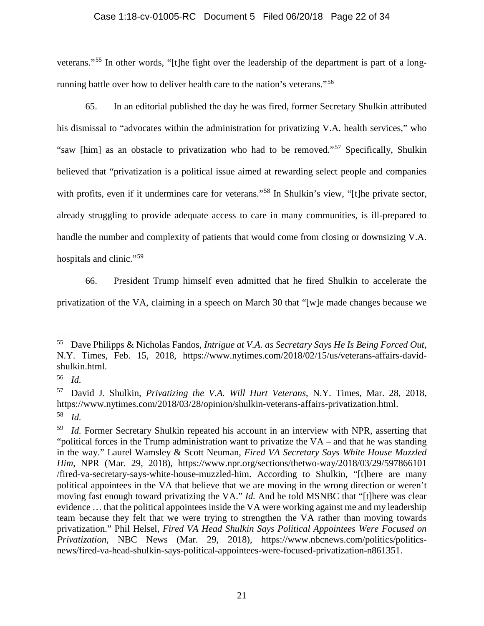### Case 1:18-cv-01005-RC Document 5 Filed 06/20/18 Page 22 of 34

veterans."[55](#page-21-0) In other words, "[t]he fight over the leadership of the department is part of a longrunning battle over how to deliver health care to the nation's veterans."[56](#page-21-1)

65. In an editorial published the day he was fired, former Secretary Shulkin attributed his dismissal to "advocates within the administration for privatizing V.A. health services," who "saw [him] as an obstacle to privatization who had to be removed."[57](#page-21-2) Specifically, Shulkin believed that "privatization is a political issue aimed at rewarding select people and companies with profits, even if it undermines care for veterans."<sup>[58](#page-21-3)</sup> In Shulkin's view, "[t]he private sector, already struggling to provide adequate access to care in many communities, is ill-prepared to handle the number and complexity of patients that would come from closing or downsizing V.A. hospitals and clinic."<sup>[59](#page-21-4)</sup>

66. President Trump himself even admitted that he fired Shulkin to accelerate the

privatization of the VA, claiming in a speech on March 30 that "[w]e made changes because we

<span id="page-21-0"></span> <sup>55</sup> Dave Philipps & Nicholas Fandos, *Intrigue at V.A. as Secretary Says He Is Being Forced Out*, N.Y. Times, Feb. 15, 2018, https://www.nytimes.com/2018/02/15/us/veterans-affairs-davidshulkin.html.

<span id="page-21-1"></span><sup>56</sup> *Id.*

<span id="page-21-2"></span><sup>57</sup> David J. Shulkin, *Privatizing the V.A. Will Hurt Veterans*, N.Y. Times, Mar. 28, 2018, https://www.nytimes.com/2018/03/28/opinion/shulkin-veterans-affairs-privatization.html. <sup>58</sup> *Id.*

<span id="page-21-4"></span><span id="page-21-3"></span><sup>59</sup> *Id.* Former Secretary Shulkin repeated his account in an interview with NPR, asserting that "political forces in the Trump administration want to privatize the VA – and that he was standing in the way." Laurel Wamsley & Scott Neuman, *Fired VA Secretary Says White House Muzzled Him*, NPR (Mar. 29, 2018), https://www.npr.org/sections/thetwo-way/2018/03/29/597866101 /fired-va-secretary-says-white-house-muzzled-him. According to Shulkin, "[t]here are many political appointees in the VA that believe that we are moving in the wrong direction or weren't moving fast enough toward privatizing the VA." *Id.* And he told MSNBC that "[t]here was clear evidence … that the political appointees inside the VA were working against me and my leadership team because they felt that we were trying to strengthen the VA rather than moving towards privatization." Phil Helsel, *Fired VA Head Shulkin Says Political Appointees Were Focused on Privatization*, NBC News (Mar. 29, 2018), https://www.nbcnews.com/politics/politicsnews/fired-va-head-shulkin-says-political-appointees-were-focused-privatization-n861351.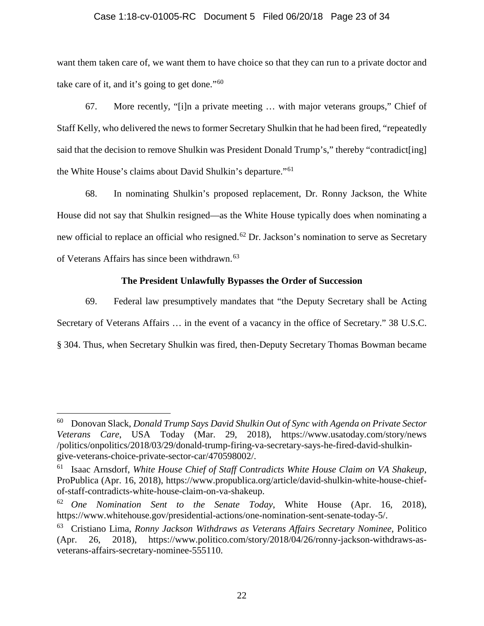### Case 1:18-cv-01005-RC Document 5 Filed 06/20/18 Page 23 of 34

want them taken care of, we want them to have choice so that they can run to a private doctor and take care of it, and it's going to get done."[60](#page-22-0)

67. More recently, "[i]n a private meeting … with major veterans groups," Chief of Staff Kelly, who delivered the news to former Secretary Shulkin that he had been fired, "repeatedly said that the decision to remove Shulkin was President Donald Trump's," thereby "contradict[ing] the White House's claims about David Shulkin's departure."[61](#page-22-1)

68. In nominating Shulkin's proposed replacement, Dr. Ronny Jackson, the White House did not say that Shulkin resigned—as the White House typically does when nominating a new official to replace an official who resigned.<sup>[62](#page-22-2)</sup> Dr. Jackson's nomination to serve as Secretary of Veterans Affairs has since been withdrawn.<sup>[63](#page-22-3)</sup>

## **The President Unlawfully Bypasses the Order of Succession**

69. Federal law presumptively mandates that "the Deputy Secretary shall be Acting Secretary of Veterans Affairs … in the event of a vacancy in the office of Secretary." 38 U.S.C. § 304. Thus, when Secretary Shulkin was fired, then-Deputy Secretary Thomas Bowman became

<span id="page-22-0"></span> <sup>60</sup> Donovan Slack, *Donald Trump Says David Shulkin Out of Sync with Agenda on Private Sector Veterans Care*, USA Today (Mar. 29, 2018), https://www.usatoday.com/story/news /politics/onpolitics/2018/03/29/donald-trump-firing-va-secretary-says-he-fired-david-shulkingive-veterans-choice-private-sector-car/470598002/.

<span id="page-22-1"></span><sup>61</sup> Isaac Arnsdorf, *White House Chief of Staff Contradicts White House Claim on VA Shakeup*, ProPublica (Apr. 16, 2018), https://www.propublica.org/article/david-shulkin-white-house-chiefof-staff-contradicts-white-house-claim-on-va-shakeup.

<span id="page-22-2"></span><sup>62</sup> *One Nomination Sent to the Senate Today*, White House (Apr. 16, 2018), https://www.whitehouse.gov/presidential-actions/one-nomination-sent-senate-today-5/.

<span id="page-22-3"></span><sup>63</sup> Cristiano Lima, *Ronny Jackson Withdraws as Veterans Affairs Secretary Nominee*, Politico (Apr. 26, 2018), https://www.politico.com/story/2018/04/26/ronny-jackson-withdraws-asveterans-affairs-secretary-nominee-555110.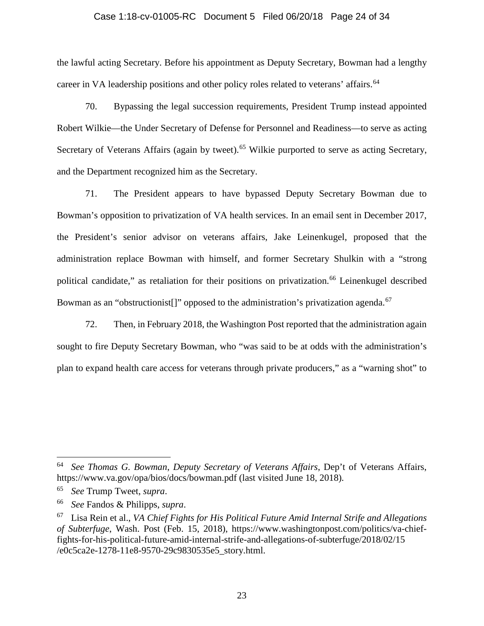### Case 1:18-cv-01005-RC Document 5 Filed 06/20/18 Page 24 of 34

the lawful acting Secretary. Before his appointment as Deputy Secretary, Bowman had a lengthy career in VA leadership positions and other policy roles related to veterans' affairs.<sup>[64](#page-23-0)</sup>

70. Bypassing the legal succession requirements, President Trump instead appointed Robert Wilkie—the Under Secretary of Defense for Personnel and Readiness—to serve as acting Secretary of Veterans Affairs (again by tweet).<sup>[65](#page-23-1)</sup> Wilkie purported to serve as acting Secretary, and the Department recognized him as the Secretary.

71. The President appears to have bypassed Deputy Secretary Bowman due to Bowman's opposition to privatization of VA health services. In an email sent in December 2017, the President's senior advisor on veterans affairs, Jake Leinenkugel, proposed that the administration replace Bowman with himself, and former Secretary Shulkin with a "strong political candidate," as retaliation for their positions on privatization.<sup>[66](#page-23-2)</sup> Leinenkugel described Bowman as an "obstructionist<sup>[]"</sup> opposed to the administration's privatization agenda.<sup>[67](#page-23-3)</sup>

72. Then, in February 2018, the Washington Post reported that the administration again sought to fire Deputy Secretary Bowman, who "was said to be at odds with the administration's plan to expand health care access for veterans through private producers," as a "warning shot" to

<span id="page-23-0"></span> <sup>64</sup> *See Thomas G. Bowman*, *Deputy Secretary of Veterans Affairs*, Dep't of Veterans Affairs, https://www.va.gov/opa/bios/docs/bowman.pdf (last visited June 18, 2018).

<span id="page-23-1"></span><sup>65</sup> *See* Trump Tweet, *supra*.

<span id="page-23-2"></span><sup>66</sup> *See* Fandos & Philipps, *supra*.

<span id="page-23-3"></span><sup>67</sup> Lisa Rein et al., *VA Chief Fights for His Political Future Amid Internal Strife and Allegations of Subterfuge*, Wash. Post (Feb. 15, 2018), https://www.washingtonpost.com/politics/va-chieffights-for-his-political-future-amid-internal-strife-and-allegations-of-subterfuge/2018/02/15 /e0c5ca2e-1278-11e8-9570-29c9830535e5\_story.html.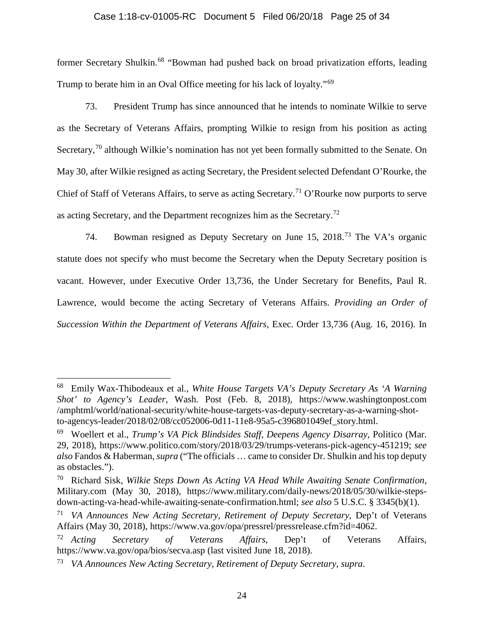### Case 1:18-cv-01005-RC Document 5 Filed 06/20/18 Page 25 of 34

former Secretary Shulkin.<sup>[68](#page-24-0)</sup> "Bowman had pushed back on broad privatization efforts, leading Trump to berate him in an Oval Office meeting for his lack of loyalty."[69](#page-24-1)

73. President Trump has since announced that he intends to nominate Wilkie to serve as the Secretary of Veterans Affairs, prompting Wilkie to resign from his position as acting Secretary,<sup>[70](#page-24-2)</sup> although Wilkie's nomination has not yet been formally submitted to the Senate. On May 30, after Wilkie resigned as acting Secretary, the President selected Defendant O'Rourke, the Chief of Staff of Veterans Affairs, to serve as acting Secretary.<sup>[71](#page-24-3)</sup> O'Rourke now purports to serve as acting Secretary, and the Department recognizes him as the Secretary.<sup>[72](#page-24-4)</sup>

74. Bowman resigned as Deputy Secretary on June 15, 2018.<sup>[73](#page-24-5)</sup> The VA's organic statute does not specify who must become the Secretary when the Deputy Secretary position is vacant. However, under Executive Order 13,736, the Under Secretary for Benefits, Paul R. Lawrence, would become the acting Secretary of Veterans Affairs. *Providing an Order of Succession Within the Department of Veterans Affairs*, Exec. Order 13,736 (Aug. 16, 2016). In

<span id="page-24-0"></span> <sup>68</sup> Emily Wax-Thibodeaux et al., *White House Targets VA's Deputy Secretary As 'A Warning Shot' to Agency's Leader*, Wash. Post (Feb. 8, 2018), https://www.washingtonpost.com /amphtml/world/national-security/white-house-targets-vas-deputy-secretary-as-a-warning-shotto-agencys-leader/2018/02/08/cc052006-0d11-11e8-95a5-c396801049ef\_story.html.

<span id="page-24-1"></span><sup>69</sup> Woellert et al., *Trump's VA Pick Blindsides Staff, Deepens Agency Disarray*, Politico (Mar. 29, 2018), https://www.politico.com/story/2018/03/29/trumps-veterans-pick-agency-451219; *see also* Fandos & Haberman, *supra* ("The officials … came to consider Dr. Shulkin and his top deputy as obstacles.").

<span id="page-24-2"></span><sup>70</sup> Richard Sisk, *Wilkie Steps Down As Acting VA Head While Awaiting Senate Confirmation*, Military.com (May 30, 2018), https://www.military.com/daily-news/2018/05/30/wilkie-stepsdown-acting-va-head-while-awaiting-senate-confirmation.html; *see also* 5 U.S.C. § 3345(b)(1).

<span id="page-24-3"></span><sup>71</sup> *VA Announces New Acting Secretary, Retirement of Deputy Secretary*, Dep't of Veterans Affairs (May 30, 2018), https://www.va.gov/opa/pressrel/pressrelease.cfm?id=4062.

<span id="page-24-4"></span><sup>72</sup> *Acting Secretary of Veterans Affairs*, Dep't of Veterans Affairs, https://www.va.gov/opa/bios/secva.asp (last visited June 18, 2018).

<span id="page-24-5"></span><sup>73</sup> *VA Announces New Acting Secretary, Retirement of Deputy Secretary*, *supra*.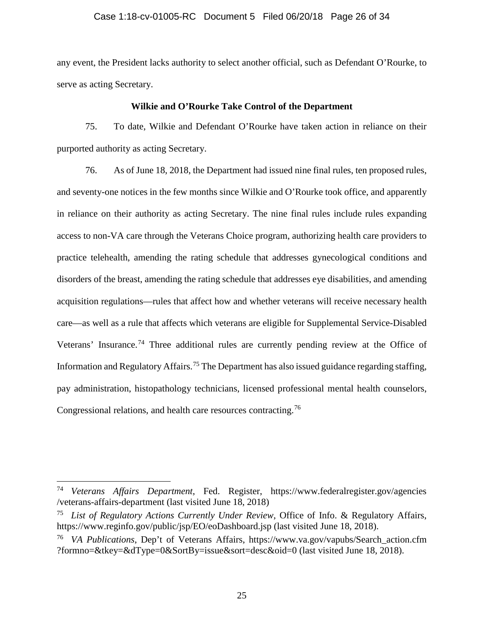### Case 1:18-cv-01005-RC Document 5 Filed 06/20/18 Page 26 of 34

any event, the President lacks authority to select another official, such as Defendant O'Rourke, to serve as acting Secretary.

### **Wilkie and O'Rourke Take Control of the Department**

75. To date, Wilkie and Defendant O'Rourke have taken action in reliance on their purported authority as acting Secretary.

76. As of June 18, 2018, the Department had issued nine final rules, ten proposed rules, and seventy-one notices in the few months since Wilkie and O'Rourke took office, and apparently in reliance on their authority as acting Secretary. The nine final rules include rules expanding access to non-VA care through the Veterans Choice program, authorizing health care providers to practice telehealth, amending the rating schedule that addresses gynecological conditions and disorders of the breast, amending the rating schedule that addresses eye disabilities, and amending acquisition regulations—rules that affect how and whether veterans will receive necessary health care—as well as a rule that affects which veterans are eligible for Supplemental Service-Disabled Veterans' Insurance.[74](#page-25-0) Three additional rules are currently pending review at the Office of Information and Regulatory Affairs.<sup>[75](#page-25-1)</sup> The Department has also issued guidance regarding staffing, pay administration, histopathology technicians, licensed professional mental health counselors, Congressional relations, and health care resources contracting.<sup>[76](#page-25-2)</sup>

<span id="page-25-0"></span> <sup>74</sup> *Veterans Affairs Department*, Fed. Register, https://www.federalregister.gov/agencies /veterans-affairs-department (last visited June 18, 2018)

<span id="page-25-1"></span><sup>75</sup> *List of Regulatory Actions Currently Under Review*, Office of Info. & Regulatory Affairs, https://www.reginfo.gov/public/jsp/EO/eoDashboard.jsp (last visited June 18, 2018).

<span id="page-25-2"></span><sup>76</sup> *VA Publications*, Dep't of Veterans Affairs, https://www.va.gov/vapubs/Search\_action.cfm ?formno=&tkey=&dType=0&SortBy=issue&sort=desc&oid=0 (last visited June 18, 2018).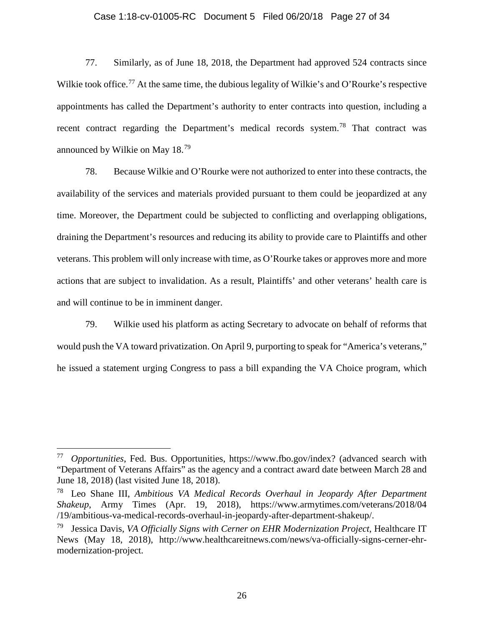### Case 1:18-cv-01005-RC Document 5 Filed 06/20/18 Page 27 of 34

77. Similarly, as of June 18, 2018, the Department had approved 524 contracts since Wilkie took office.<sup>[77](#page-26-0)</sup> At the same time, the dubious legality of Wilkie's and O'Rourke's respective appointments has called the Department's authority to enter contracts into question, including a recent contract regarding the Department's medical records system.<sup>[78](#page-26-1)</sup> That contract was announced by Wilkie on May 18.[79](#page-26-2)

78. Because Wilkie and O'Rourke were not authorized to enter into these contracts, the availability of the services and materials provided pursuant to them could be jeopardized at any time. Moreover, the Department could be subjected to conflicting and overlapping obligations, draining the Department's resources and reducing its ability to provide care to Plaintiffs and other veterans. This problem will only increase with time, as O'Rourke takes or approves more and more actions that are subject to invalidation. As a result, Plaintiffs' and other veterans' health care is and will continue to be in imminent danger.

79. Wilkie used his platform as acting Secretary to advocate on behalf of reforms that would push the VA toward privatization. On April 9, purporting to speak for "America's veterans," he issued a statement urging Congress to pass a bill expanding the VA Choice program, which

<span id="page-26-0"></span> <sup>77</sup> *Opportunities*, Fed. Bus. Opportunities, https://www.fbo.gov/index? (advanced search with "Department of Veterans Affairs" as the agency and a contract award date between March 28 and June 18, 2018) (last visited June 18, 2018).

<span id="page-26-1"></span><sup>78</sup> Leo Shane III, *Ambitious VA Medical Records Overhaul in Jeopardy After Department Shakeup*, Army Times (Apr. 19, 2018), https://www.armytimes.com/veterans/2018/04 /19/ambitious-va-medical-records-overhaul-in-jeopardy-after-department-shakeup/.

<span id="page-26-2"></span><sup>79</sup> Jessica Davis, *VA Officially Signs with Cerner on EHR Modernization Project*, Healthcare IT News (May 18, 2018), http://www.healthcareitnews.com/news/va-officially-signs-cerner-ehrmodernization-project.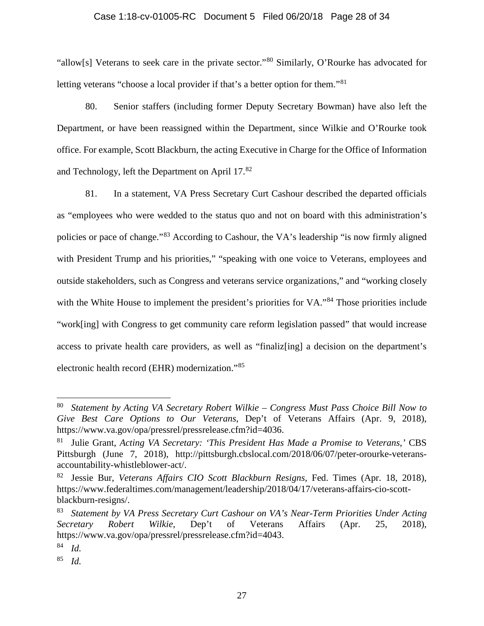### Case 1:18-cv-01005-RC Document 5 Filed 06/20/18 Page 28 of 34

"allow[s] Veterans to seek care in the private sector."[80](#page-27-0) Similarly, O'Rourke has advocated for letting veterans "choose a local provider if that's a better option for them."<sup>[81](#page-27-1)</sup>

80. Senior staffers (including former Deputy Secretary Bowman) have also left the Department, or have been reassigned within the Department, since Wilkie and O'Rourke took office. For example, Scott Blackburn, the acting Executive in Charge for the Office of Information and Technology, left the Department on April 17.[82](#page-27-2)

81. In a statement, VA Press Secretary Curt Cashour described the departed officials as "employees who were wedded to the status quo and not on board with this administration's policies or pace of change."[83](#page-27-3) According to Cashour, the VA's leadership "is now firmly aligned with President Trump and his priorities," "speaking with one voice to Veterans, employees and outside stakeholders, such as Congress and veterans service organizations," and "working closely with the White House to implement the president's priorities for VA."<sup>[84](#page-27-4)</sup> Those priorities include "work[ing] with Congress to get community care reform legislation passed" that would increase access to private health care providers, as well as "finaliz[ing] a decision on the department's electronic health record (EHR) modernization."[85](#page-27-5)

<span id="page-27-0"></span> <sup>80</sup> *Statement by Acting VA Secretary Robert Wilkie – Congress Must Pass Choice Bill Now to Give Best Care Options to Our Veterans*, Dep't of Veterans Affairs (Apr. 9, 2018), https://www.va.gov/opa/pressrel/pressrelease.cfm?id=4036.

<span id="page-27-1"></span><sup>81</sup> Julie Grant, *Acting VA Secretary: 'This President Has Made a Promise to Veterans*,*'* CBS Pittsburgh (June 7, 2018), http://pittsburgh.cbslocal.com/2018/06/07/peter-orourke-veteransaccountability-whistleblower-act/.

<span id="page-27-2"></span><sup>82</sup> Jessie Bur, *Veterans Affairs CIO Scott Blackburn Resigns*, Fed. Times (Apr. 18, 2018), https://www.federaltimes.com/management/leadership/2018/04/17/veterans-affairs-cio-scottblackburn-resigns/.

<span id="page-27-3"></span><sup>83</sup> *Statement by VA Press Secretary Curt Cashour on VA's Near-Term Priorities Under Acting Secretary Robert Wilkie*, Dep't of Veterans Affairs (Apr. 25, 2018), https://www.va.gov/opa/pressrel/pressrelease.cfm?id=4043.

<span id="page-27-4"></span><sup>84</sup> *Id.*

<span id="page-27-5"></span><sup>85</sup> *Id.*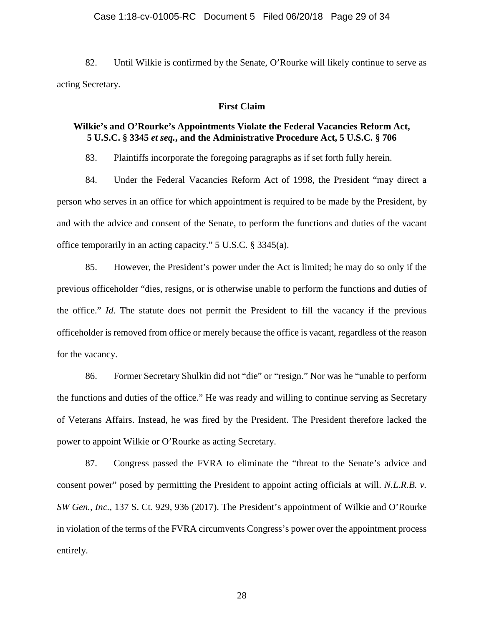### Case 1:18-cv-01005-RC Document 5 Filed 06/20/18 Page 29 of 34

82. Until Wilkie is confirmed by the Senate, O'Rourke will likely continue to serve as acting Secretary.

### **First Claim**

## **Wilkie's and O'Rourke's Appointments Violate the Federal Vacancies Reform Act, 5 U.S.C. § 3345** *et seq.***, and the Administrative Procedure Act, 5 U.S.C. § 706**

83. Plaintiffs incorporate the foregoing paragraphs as if set forth fully herein.

84. Under the Federal Vacancies Reform Act of 1998, the President "may direct a person who serves in an office for which appointment is required to be made by the President, by and with the advice and consent of the Senate, to perform the functions and duties of the vacant office temporarily in an acting capacity." 5 U.S.C. § 3345(a).

85. However, the President's power under the Act is limited; he may do so only if the previous officeholder "dies, resigns, or is otherwise unable to perform the functions and duties of the office." *Id.* The statute does not permit the President to fill the vacancy if the previous officeholder is removed from office or merely because the office is vacant, regardless of the reason for the vacancy.

86. Former Secretary Shulkin did not "die" or "resign." Nor was he "unable to perform the functions and duties of the office." He was ready and willing to continue serving as Secretary of Veterans Affairs. Instead, he was fired by the President. The President therefore lacked the power to appoint Wilkie or O'Rourke as acting Secretary.

87. Congress passed the FVRA to eliminate the "threat to the Senate's advice and consent power" posed by permitting the President to appoint acting officials at will. *N.L.R.B. v. SW Gen., Inc.*, 137 S. Ct. 929, 936 (2017). The President's appointment of Wilkie and O'Rourke in violation of the terms of the FVRA circumvents Congress's power over the appointment process entirely.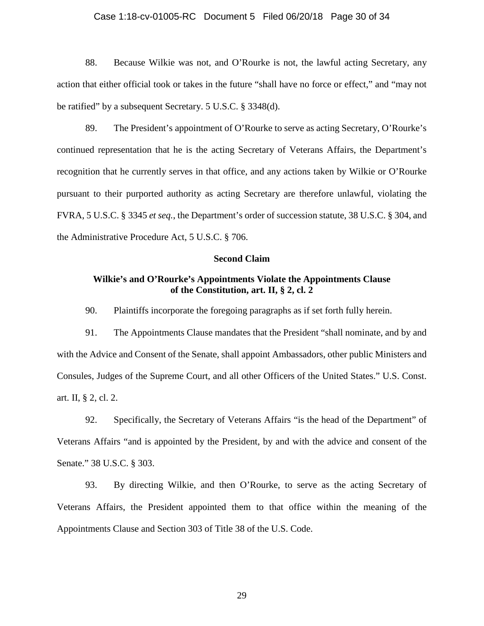### Case 1:18-cv-01005-RC Document 5 Filed 06/20/18 Page 30 of 34

88. Because Wilkie was not, and O'Rourke is not, the lawful acting Secretary, any action that either official took or takes in the future "shall have no force or effect," and "may not be ratified" by a subsequent Secretary. 5 U.S.C. § 3348(d).

89. The President's appointment of O'Rourke to serve as acting Secretary, O'Rourke's continued representation that he is the acting Secretary of Veterans Affairs, the Department's recognition that he currently serves in that office, and any actions taken by Wilkie or O'Rourke pursuant to their purported authority as acting Secretary are therefore unlawful, violating the FVRA, 5 U.S.C. § 3345 *et seq.*, the Department's order of succession statute, 38 U.S.C. § 304, and the Administrative Procedure Act, 5 U.S.C. § 706.

### **Second Claim**

## **Wilkie's and O'Rourke's Appointments Violate the Appointments Clause of the Constitution, art. II, § 2, cl. 2**

90. Plaintiffs incorporate the foregoing paragraphs as if set forth fully herein.

91. The Appointments Clause mandates that the President "shall nominate, and by and with the Advice and Consent of the Senate, shall appoint Ambassadors, other public Ministers and Consules, Judges of the Supreme Court, and all other Officers of the United States." U.S. Const. art. II, § 2, cl. 2.

92. Specifically, the Secretary of Veterans Affairs "is the head of the Department" of Veterans Affairs "and is appointed by the President, by and with the advice and consent of the Senate." 38 U.S.C. § 303.

93. By directing Wilkie, and then O'Rourke, to serve as the acting Secretary of Veterans Affairs, the President appointed them to that office within the meaning of the Appointments Clause and Section 303 of Title 38 of the U.S. Code.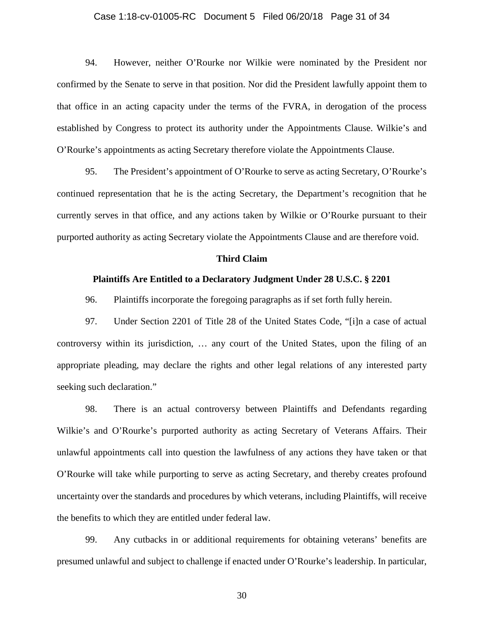### Case 1:18-cv-01005-RC Document 5 Filed 06/20/18 Page 31 of 34

94. However, neither O'Rourke nor Wilkie were nominated by the President nor confirmed by the Senate to serve in that position. Nor did the President lawfully appoint them to that office in an acting capacity under the terms of the FVRA, in derogation of the process established by Congress to protect its authority under the Appointments Clause. Wilkie's and O'Rourke's appointments as acting Secretary therefore violate the Appointments Clause.

95. The President's appointment of O'Rourke to serve as acting Secretary, O'Rourke's continued representation that he is the acting Secretary, the Department's recognition that he currently serves in that office, and any actions taken by Wilkie or O'Rourke pursuant to their purported authority as acting Secretary violate the Appointments Clause and are therefore void.

#### **Third Claim**

#### **Plaintiffs Are Entitled to a Declaratory Judgment Under 28 U.S.C. § 2201**

96. Plaintiffs incorporate the foregoing paragraphs as if set forth fully herein.

97. Under Section 2201 of Title 28 of the United States Code, "[i]n a case of actual controversy within its jurisdiction, … any court of the United States, upon the filing of an appropriate pleading, may declare the rights and other legal relations of any interested party seeking such declaration."

98. There is an actual controversy between Plaintiffs and Defendants regarding Wilkie's and O'Rourke's purported authority as acting Secretary of Veterans Affairs. Their unlawful appointments call into question the lawfulness of any actions they have taken or that O'Rourke will take while purporting to serve as acting Secretary, and thereby creates profound uncertainty over the standards and procedures by which veterans, including Plaintiffs, will receive the benefits to which they are entitled under federal law.

99. Any cutbacks in or additional requirements for obtaining veterans' benefits are presumed unlawful and subject to challenge if enacted under O'Rourke's leadership. In particular,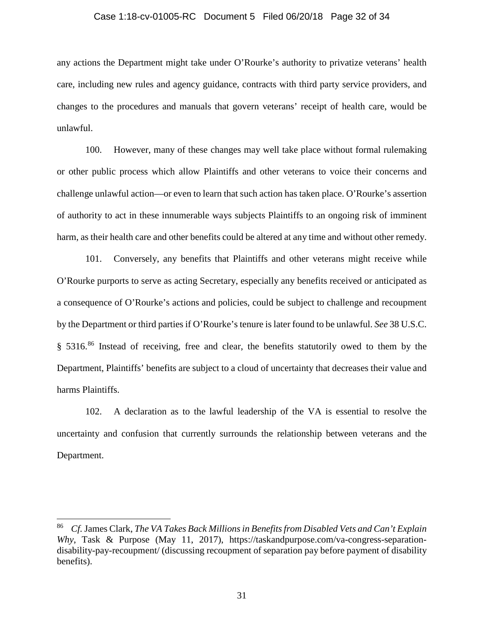#### Case 1:18-cv-01005-RC Document 5 Filed 06/20/18 Page 32 of 34

any actions the Department might take under O'Rourke's authority to privatize veterans' health care, including new rules and agency guidance, contracts with third party service providers, and changes to the procedures and manuals that govern veterans' receipt of health care, would be unlawful.

100. However, many of these changes may well take place without formal rulemaking or other public process which allow Plaintiffs and other veterans to voice their concerns and challenge unlawful action—or even to learn that such action has taken place. O'Rourke's assertion of authority to act in these innumerable ways subjects Plaintiffs to an ongoing risk of imminent harm, as their health care and other benefits could be altered at any time and without other remedy.

101. Conversely, any benefits that Plaintiffs and other veterans might receive while O'Rourke purports to serve as acting Secretary, especially any benefits received or anticipated as a consequence of O'Rourke's actions and policies, could be subject to challenge and recoupment by the Department or third parties if O'Rourke's tenure is later found to be unlawful. *See* 38 U.S.C. § 5316.<sup>[86](#page-31-0)</sup> Instead of receiving, free and clear, the benefits statutorily owed to them by the Department, Plaintiffs' benefits are subject to a cloud of uncertainty that decreases their value and harms Plaintiffs.

102. A declaration as to the lawful leadership of the VA is essential to resolve the uncertainty and confusion that currently surrounds the relationship between veterans and the Department.

<span id="page-31-0"></span> <sup>86</sup> *Cf.* James Clark, *The VA Takes Back Millions in Benefits from Disabled Vets and Can't Explain Why*, Task & Purpose (May 11, 2017), https://taskandpurpose.com/va-congress-separationdisability-pay-recoupment/ (discussing recoupment of separation pay before payment of disability benefits).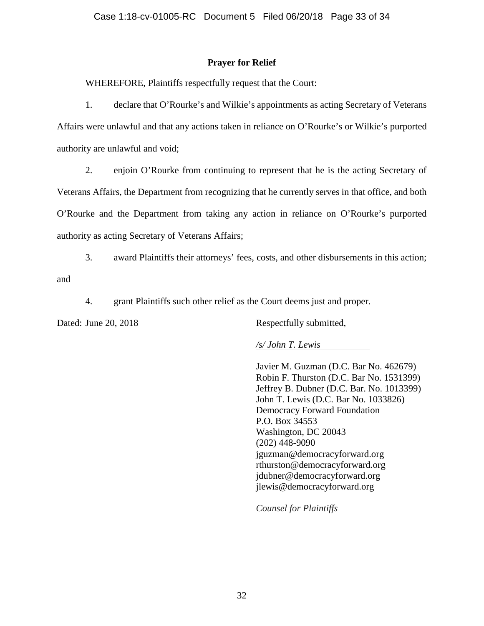## **Prayer for Relief**

WHEREFORE, Plaintiffs respectfully request that the Court:

1. declare that O'Rourke's and Wilkie's appointments as acting Secretary of Veterans Affairs were unlawful and that any actions taken in reliance on O'Rourke's or Wilkie's purported authority are unlawful and void;

2. enjoin O'Rourke from continuing to represent that he is the acting Secretary of Veterans Affairs, the Department from recognizing that he currently serves in that office, and both O'Rourke and the Department from taking any action in reliance on O'Rourke's purported authority as acting Secretary of Veterans Affairs;

3. award Plaintiffs their attorneys' fees, costs, and other disbursements in this action; and

4. grant Plaintiffs such other relief as the Court deems just and proper.

Dated: June 20, 2018 Respectfully submitted,

*/s/ John T. Lewis*

Javier M. Guzman (D.C. Bar No. 462679) Robin F. Thurston (D.C. Bar No. 1531399) Jeffrey B. Dubner (D.C. Bar. No. 1013399) John T. Lewis (D.C. Bar No. 1033826) Democracy Forward Foundation P.O. Box 34553 Washington, DC 20043 (202) 448-9090 jguzman@democracyforward.org rthurston@democracyforward.org jdubner@democracyforward.org jlewis@democracyforward.org

*Counsel for Plaintiffs*